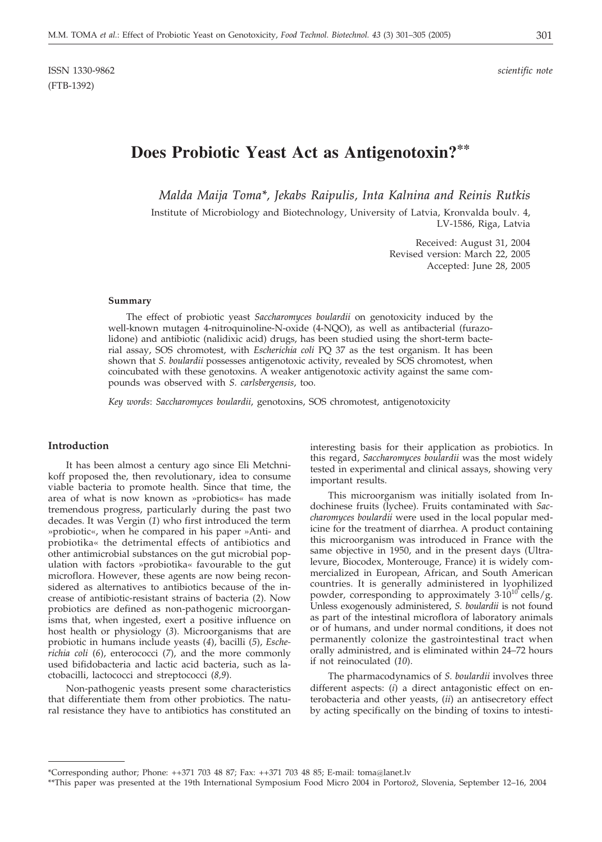# **Does Probiotic Yeast Act as Antigenotoxin?\*\***

*Malda Maija Toma\*, Jekabs Raipulis, Inta Kalnina and Reinis Rutkis*

Institute of Microbiology and Biotechnology, University of Latvia, Kronvalda boulv. 4, LV-1586, Riga, Latvia

> Received: August 31, 2004 Revised version: March 22, 2005 Accepted: June 28, 2005

#### **Summary**

The effect of probiotic yeast *Saccharomyces boulardii* on genotoxicity induced by the well-known mutagen 4-nitroquinoline-N-oxide (4-NQO), as well as antibacterial (furazolidone) and antibiotic (nalidixic acid) drugs, has been studied using the short-term bacterial assay, SOS chromotest, with *Escherichia coli* PQ 37 as the test organism. It has been shown that *S. boulardii* possesses antigenotoxic activity, revealed by SOS chromotest, when coincubated with these genotoxins. A weaker antigenotoxic activity against the same compounds was observed with *S. carlsbergensis*, too.

*Key words*: *Saccharomyces boulardii*, genotoxins, SOS chromotest, antigenotoxicity

### **Introduction**

It has been almost a century ago since Eli Metchnikoff proposed the, then revolutionary, idea to consume viable bacteria to promote health. Since that time, the area of what is now known as »probiotics« has made tremendous progress, particularly during the past two decades. It was Vergin (*1*) who first introduced the term »probiotic«, when he compared in his paper »Anti- and probiotika« the detrimental effects of antibiotics and other antimicrobial substances on the gut microbial population with factors »probiotika« favourable to the gut microflora. However, these agents are now being reconsidered as alternatives to antibiotics because of the increase of antibiotic-resistant strains of bacteria (*2*). Now probiotics are defined as non-pathogenic microorganisms that, when ingested, exert a positive influence on host health or physiology (*3*). Microorganisms that are probiotic in humans include yeasts (*4*), bacilli (*5*), *Escherichia coli* (*6*), enterococci (*7*), and the more commonly used bifidobacteria and lactic acid bacteria, such as lactobacilli, lactococci and streptococci (*8,9*).

Non-pathogenic yeasts present some characteristics that differentiate them from other probiotics. The natural resistance they have to antibiotics has constituted an interesting basis for their application as probiotics. In this regard, *Saccharomyces boulardii* was the most widely tested in experimental and clinical assays, showing very important results.

This microorganism was initially isolated from Indochinese fruits (lychee). Fruits contaminated with *Saccharomyces boulardii* were used in the local popular medicine for the treatment of diarrhea. A product containing this microorganism was introduced in France with the same objective in 1950, and in the present days (Ultralevure, Biocodex, Monterouge, France) it is widely commercialized in European, African, and South American countries. It is generally administered in lyophilized powder, corresponding to approximately  $3.10^{10}$  cells/g. Unless exogenously administered, *S. boulardii* is not found as part of the intestinal microflora of laboratory animals or of humans, and under normal conditions, it does not permanently colonize the gastrointestinal tract when orally administred, and is eliminated within 24–72 hours if not reinoculated (*10*).

The pharmacodynamics of *S. boulardii* involves three different aspects: (*i*) a direct antagonistic effect on enterobacteria and other yeasts, (*ii*) an antisecretory effect by acting specifically on the binding of toxins to intesti-

<sup>\*</sup>Corresponding author; Phone: ++371 703 48 87; Fax: ++371 703 48 85; E-mail: toma*@*lanet.lv

<sup>\*\*</sup>This paper was presented at the 19th International Symposium Food Micro 2004 in Portorož, Slovenia, September 12-16, 2004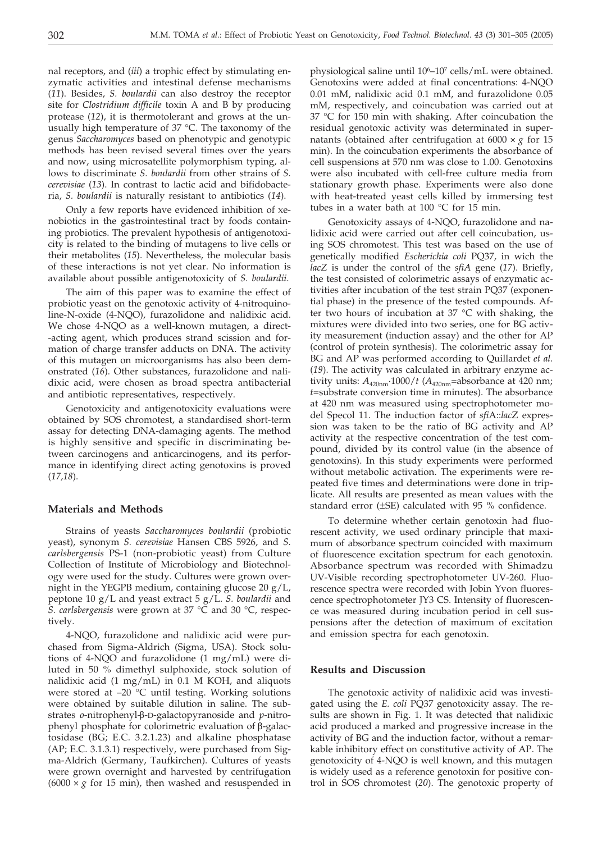nal receptors, and (*iii*) a trophic effect by stimulating enzymatic activities and intestinal defense mechanisms (*11*). Besides, *S. boulardii* can also destroy the receptor site for *Clostridium difficile* toxin A and B by producing protease (*12*), it is thermotolerant and grows at the unusually high temperature of 37 °C. The taxonomy of the genus *Saccharomyces* based on phenotypic and genotypic methods has been revised several times over the years and now, using microsatellite polymorphism typing, allows to discriminate *S. boulardii* from other strains of *S. cerevisiae* (*13*). In contrast to lactic acid and bifidobacteria, *S. boulardii* is naturally resistant to antibiotics (*14*).

Only a few reports have evidenced inhibition of xenobiotics in the gastrointestinal tract by foods containing probiotics. The prevalent hypothesis of antigenotoxicity is related to the binding of mutagens to live cells or their metabolites (*15*). Nevertheless, the molecular basis of these interactions is not yet clear. No information is available about possible antigenotoxicity of *S. boulardii*.

The aim of this paper was to examine the effect of probiotic yeast on the genotoxic activity of 4-nitroquinoline-N-oxide (4-NQO), furazolidone and nalidixic acid. We chose 4-NQO as a well-known mutagen, a direct- -acting agent, which produces strand scission and formation of charge transfer adducts on DNA. The activity of this mutagen on microorganisms has also been demonstrated (*16*). Other substances, furazolidone and nalidixic acid, were chosen as broad spectra antibacterial and antibiotic representatives, respectively.

Genotoxicity and antigenotoxicity evaluations were obtained by SOS chromotest, a standardised short-term assay for detecting DNA-damaging agents. The method is highly sensitive and specific in discriminating between carcinogens and anticarcinogens, and its performance in identifying direct acting genotoxins is proved (*17,18*).

#### **Materials and Methods**

Strains of yeasts *Saccharomyces boulardii* (probiotic yeast), synonym *S. cerevisiae* Hansen CBS 5926, and *S. carlsbergensis* PS-1 (non-probiotic yeast) from Culture Collection of Institute of Microbiology and Biotechnology were used for the study. Cultures were grown overnight in the YEGPB medium, containing glucose 20 g/L, peptone 10 g/L and yeast extract 5 g/L. *S. boulardii* and *S. carlsbergensis* were grown at 37 °C and 30 °C, respectively.

4-NQO, furazolidone and nalidixic acid were purchased from Sigma-Aldrich (Sigma, USA). Stock solutions of 4-NQO and furazolidone (1 mg/mL) were diluted in 50 % dimethyl sulphoxide, stock solution of nalidixic acid (1 mg/mL) in 0.1 M KOH, and aliquots were stored at –20 °C until testing. Working solutions were obtained by suitable dilution in saline. The substrates *o*-nitrophenyl-b-D-galactopyranoside and *p*-nitrophenyl phosphate for colorimetric evaluation of  $\beta$ -galactosidase (BG; E.C. 3.2.1.23) and alkaline phosphatase (AP; E.C. 3.1.3.1) respectively, were purchased from Sigma-Aldrich (Germany, Taufkirchen). Cultures of yeasts were grown overnight and harvested by centrifugation  $(6000 \times g$  for 15 min), then washed and resuspended in

physiological saline until 10<sup>6</sup>–10<sup>7</sup> cells/mL were obtained. Genotoxins were added at final concentrations: 4-NQO 0.01 mM, nalidixic acid 0.1 mM, and furazolidone 0.05 mM, respectively, and coincubation was carried out at 37 °C for 150 min with shaking. After coincubation the residual genotoxic activity was determinated in supernatants (obtained after centrifugation at  $6000 \times g$  for 15 min). In the coincubation experiments the absorbance of cell suspensions at 570 nm was close to 1.00. Genotoxins were also incubated with cell-free culture media from stationary growth phase. Experiments were also done with heat-treated yeast cells killed by immersing test tubes in a water bath at 100 °C for 15 min.

Genotoxicity assays of 4-NQO, furazolidone and nalidixic acid were carried out after cell coincubation, using SOS chromotest. This test was based on the use of genetically modified *Escherichia coli* PQ37, in wich the *lacZ* is under the control of the *sfiA* gene (*17*). Briefly, the test consisted of colorimetric assays of enzymatic activities after incubation of the test strain PQ37 (exponential phase) in the presence of the tested compounds. After two hours of incubation at 37  $\degree$ C with shaking, the mixtures were divided into two series, one for BG activity measurement (induction assay) and the other for AP (control of protein synthesis). The colorimetric assay for BG and AP was performed according to Quillardet *et al.* (*19*). The activity was calculated in arbitrary enzyme activity units:  $A_{420nm}$ 1000/*t* ( $A_{420nm}$ =absorbance at 420 nm; *t*=substrate conversion time in minutes). The absorbance at 420 nm was measured using spectrophotometer model Specol 11. The induction factor of *sfi*A::*lac*Z expression was taken to be the ratio of BG activity and AP activity at the respective concentration of the test compound, divided by its control value (in the absence of genotoxins). In this study experiments were performed without metabolic activation. The experiments were repeated five times and determinations were done in triplicate. All results are presented as mean values with the standard error (±SE) calculated with 95 % confidence.

To determine whether certain genotoxin had fluorescent activity, we used ordinary principle that maximum of absorbance spectrum coincided with maximum of fluorescence excitation spectrum for each genotoxin. Absorbance spectrum was recorded with Shimadzu UV-Visible recording spectrophotometer UV-260. Fluorescence spectra were recorded with Jobin Yvon fluorescence spectrophotometer JY3 CS. Intensity of fluorescence was measured during incubation period in cell suspensions after the detection of maximum of excitation and emission spectra for each genotoxin.

#### **Results and Discussion**

The genotoxic activity of nalidixic acid was investigated using the *E. coli* PQ37 genotoxicity assay. The results are shown in Fig. 1. It was detected that nalidixic acid produced a marked and progressive increase in the activity of BG and the induction factor, without a remarkable inhibitory effect on constitutive activity of AP. The genotoxicity of 4-NQO is well known, and this mutagen is widely used as a reference genotoxin for positive control in SOS chromotest (*20*). The genotoxic property of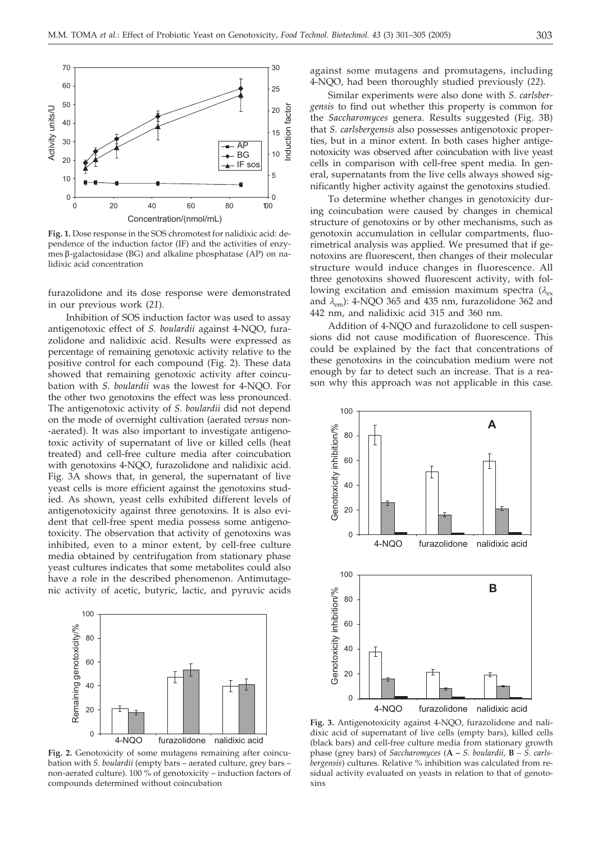

**Fig. 1.** Dose response in the SOS chromotest for nalidixic acid: dependence of the induction factor (IF) and the activities of enzymes  $\beta$ -galactosidase (BG) and alkaline phosphatase (AP) on nalidixic acid concentration

furazolidone and its dose response were demonstrated in our previous work (*21*).

Inhibition of SOS induction factor was used to assay antigenotoxic effect of *S. boulardii* against 4-NQO, furazolidone and nalidixic acid. Results were expressed as percentage of remaining genotoxic activity relative to the positive control for each compound (Fig. 2). These data showed that remaining genotoxic activity after coincubation with *S. boulardii* was the lowest for 4-NQO. For the other two genotoxins the effect was less pronounced. The antigenotoxic activity of *S. boulardii* did not depend on the mode of overnight cultivation (aerated *versus* non- -aerated). It was also important to investigate antigenotoxic activity of supernatant of live or killed cells (heat treated) and cell-free culture media after coincubation with genotoxins 4-NQO, furazolidone and nalidixic acid. Fig. 3A shows that, in general, the supernatant of live yeast cells is more efficient against the genotoxins studied. As shown, yeast cells exhibited different levels of antigenotoxicity against three genotoxins. It is also evident that cell-free spent media possess some antigenotoxicity. The observation that activity of genotoxins was inhibited, even to a minor extent, by cell-free culture media obtained by centrifugation from stationary phase yeast cultures indicates that some metabolites could also have a role in the described phenomenon. Antimutagenic activity of acetic, butyric, lactic, and pyruvic acids



**Fig. 2.** Genotoxicity of some mutagens remaining after coincubation with *S. boulardii* (empty bars – aerated culture, grey bars – non-aerated culture). 100 % of genotoxicity – induction factors of compounds determined without coincubation

against some mutagens and promutagens, including 4-NQO, had been thoroughly studied previously (*22*).

Similar experiments were also done with *S. carlsbergensis* to find out whether this property is common for the *Saccharomyces* genera. Results suggested (Fig. 3B) that *S. carlsbergensis* also possesses antigenotoxic properties, but in a minor extent. In both cases higher antigenotoxicity was observed after coincubation with live yeast cells in comparison with cell-free spent media. In general, supernatants from the live cells always showed significantly higher activity against the genotoxins studied.

To determine whether changes in genotoxicity during coincubation were caused by changes in chemical structure of genotoxins or by other mechanisms, such as genotoxin accumulation in cellular compartments, fluorimetrical analysis was applied. We presumed that if genotoxins are fluorescent, then changes of their molecular structure would induce changes in fluorescence. All three genotoxins showed fluorescent activity, with following excitation and emission maximum spectra  $(\lambda_{ex})$ and  $\lambda_{em}$ ): 4-NQO 365 and 435 nm, furazolidone 362 and 442 nm, and nalidixic acid 315 and 360 nm.

Addition of 4-NQO and furazolidone to cell suspensions did not cause modification of fluorescence. This could be explained by the fact that concentrations of these genotoxins in the coincubation medium were not enough by far to detect such an increase. That is a reason why this approach was not applicable in this case.



**Fig. 3.** Antigenotoxicity against 4-NQO, furazolidone and nalidixic acid of supernatant of live cells (empty bars), killed cells (black bars) and cell-free culture media from stationary growth phase (grey bars) of *Saccharomyces* (**A –** *S. boulardii,* **B** – *S. carlsbergensis*) cultures. Relative % inhibition was calculated from residual activity evaluated on yeasts in relation to that of genotoxins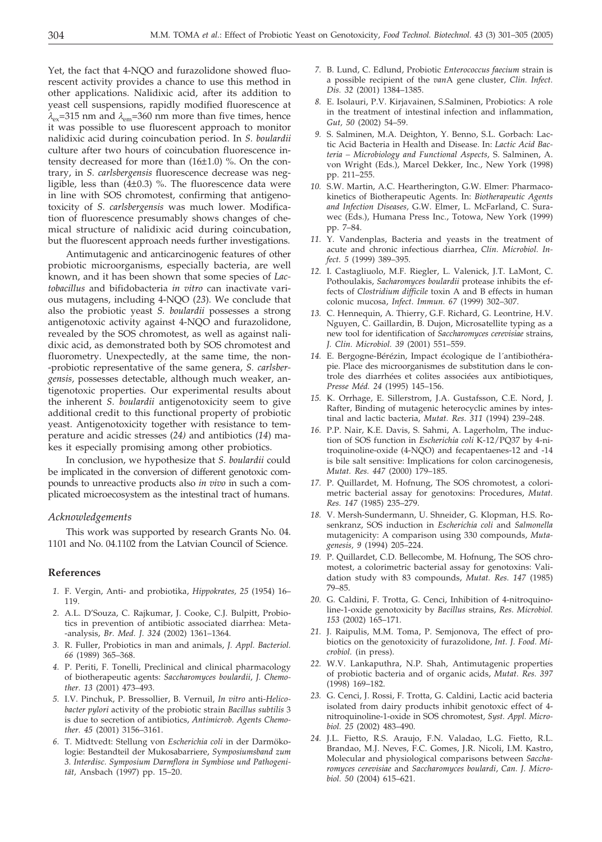Yet, the fact that 4-NQO and furazolidone showed fluorescent activity provides a chance to use this method in other applications. Nalidixic acid, after its addition to yeast cell suspensions, rapidly modified fluorescence at  $\lambda_{\text{ex}}$ =315 nm and  $\lambda_{\text{em}}$ =360 nm more than five times, hence it was possible to use fluorescent approach to monitor nalidixic acid during coincubation period. In *S. boulardii* culture after two hours of coincubation fluorescence intensity decreased for more than (16±1.0) %. On the contrary, in *S. carlsbergensis* fluorescence decrease was negligible, less than  $(4\pm0.3)$  %. The fluorescence data were in line with SOS chromotest, confirming that antigenotoxicity of *S. carlsbergensis* was much lower. Modification of fluorescence presumably shows changes of chemical structure of nalidixic acid during coincubation, but the fluorescent approach needs further investigations.

Antimutagenic and anticarcinogenic features of other probiotic microorganisms, especially bacteria, are well known, and it has been shown that some species of *Lactobacillus* and bifidobacteria *in vitro* can inactivate various mutagens, including 4-NQO (*23*). We conclude that also the probiotic yeast *S. boulardii* possesses a strong antigenotoxic activity against 4-NQO and furazolidone, revealed by the SOS chromotest, as well as against nalidixic acid, as demonstrated both by SOS chromotest and fluorometry. Unexpectedly, at the same time, the non- -probiotic representative of the same genera, *S. carlsbergensis*, possesses detectable, although much weaker, antigenotoxic properties. Our experimental results about the inherent *S. boulardii* antigenotoxicity seem to give additional credit to this functional property of probiotic yeast. Antigenotoxicity together with resistance to temperature and acidic stresses (*24)* and antibiotics (*14*) makes it especially promising among other probiotics.

In conclusion, we hypothesize that *S. boulardii* could be implicated in the conversion of different genotoxic compounds to unreactive products also *in vivo* in such a complicated microecosystem as the intestinal tract of humans.

#### *Acknowledgements*

This work was supported by research Grants No. 04. 1101 and No. 04.1102 from the Latvian Council of Science.

## **References**

- *1.* F. Vergin, Anti- and probiotika, *Hippokrates, 25* (1954) 16– 119.
- *2.* A.L. D'Souza, C. Rajkumar, J. Cooke, C.J. Bulpitt, Probiotics in prevention of antibiotic associated diarrhea: Meta- -analysis, *Br. Med. J. 324* (2002) 1361–1364.
- *3.* R. Fuller, Probiotics in man and animals, *J. Appl. Bacteriol. 66* (1989) 365–368.
- *4.* P. Periti, F. Tonelli, Preclinical and clinical pharmacology of biotherapeutic agents: *Saccharomyces boulardii*, *J. Chemother. 13* (2001) 473–493.
- *5.* I.V. Pinchuk, P. Bressollier, B. Vernuil, *In vitro* anti-*Helicobacter pylori* activity of the probiotic strain *Bacillus subtilis* 3 is due to secretion of antibiotics, *Antimicrob. Agents Chemother. 45* (2001) 3156–3161.
- *6.* T. Midtvedt: Stellung von *Escherichia coli* in der Darmökologie: Bestandteil der Mukosabarriere, *S*y*mposiumsband zum 3. Interdisc. Symposium Darmflora in Symbiose und Pathogenität,* Ansbach (1997) pp. 15–20.
- *7.* B. Lund, C. Edlund, Probiotic *Enterococcus faecium* strain is a possible recipient of the *van*A gene cluster, *Clin. Infect. Dis. 32* (2001) 1384–1385.
- *8.* E. Isolauri, P.V. Kirjavainen, S.Salminen, Probiotics: A role in the treatment of intestinal infection and inflammation, *Gut, 50* (2002) 54–59.
- *9.* S. Salminen, M.A. Deighton, Y. Benno, S.L. Gorbach: Lactic Acid Bacteria in Health and Disease. In: *Lactic Acid Bacteria – Microbiology and Functional Aspects,* S. Salminen, A. von Wright (Eds.), Marcel Dekker, Inc., New York (1998) pp. 211–255.
- *10.* S.W. Martin, A.C. Heartherington, G.W. Elmer: Pharmacokinetics of Biotherapeutic Agents. In: *Biotherapeutic Agents and Infection Diseases,* G.W. Elmer, L. McFarland, C. Surawec (Eds.), Humana Press Inc., Totowa, New York (1999) pp. 7–84.
- *11.* Y. Vandenplas, Bacteria and yeasts in the treatment of acute and chronic infectious diarrhea, *Clin. Microbiol. Infect. 5* (1999) 389–395.
- *12.* I. Castagliuolo, M.F. Riegler, L. Valenick, J.T. LaMont, C. Pothoulakis, *Sacharomyces boulardii* protease inhibits the effects of *Clostridium difficile* toxin A and B effects in human colonic mucosa, *Infect. Immun. 67* (1999) 302–307.
- *13.* C. Hennequin, A. Thierry, G.F. Richard, G. Leontrine, H.V. Nguyen, C. Gaillardin, B. Dujon, Microsatellite typing as a new tool for identification of *Saccharomyces cerevisiae* strains, *J. Clin. Microbiol. 39* (2001) 551–559.
- *14.* E. Bergogne-Bérézin, Impact écologique de l´antibiothérapie. Place des microorganismes de substitution dans le controle des diarrhées et colites associées aux antibiotiques, *Presse Méd. 24* (1995) 145–156.
- *15.* K. Orrhage, E. Sillerstrom, J.A. Gustafsson, C.E. Nord, J. Rafter, Binding of mutagenic heterocyclic amines by intestinal and lactic bacteria, *Mutat. Res. 311* (1994) 239–248.
- *16.* P.P. Nair, K.E. Davis, S. Sahmi, A. Lagerholm, The induction of SOS function in *Escherichia coli* K-12/PQ37 by 4-nitroquinoline-oxide (4-NQO) and fecapentaenes-12 and -14 is bile salt sensitive: Implications for colon carcinogenesis, *Mutat. Res. 447* (2000) 179–185.
- *17.* P. Quillardet, M. Hofnung, The SOS chromotest, a colorimetric bacterial assay for genotoxins: Procedures, *Mutat. Res. 147* (1985) 235–279.
- *18.* V. Mersh-Sundermann, U. Shneider, G. Klopman, H.S. Rosenkranz, SOS induction in *Escherichia coli* and *Salmonella* mutagenicity: A comparison using 330 compounds, *Mutagenesis, 9* (1994) 205–224.
- *19.* P. Quillardet, C.D. Bellecombe, M. Hofnung, The SOS chromotest, a colorimetric bacterial assay for genotoxins: Validation study with 83 compounds, *Mutat. Res. 147* (1985) 79–85.
- *20.* G. Caldini, F. Trotta, G. Cenci, Inhibition of 4-nitroquinoline-1-oxide genotoxicity by *Bacillus* strains, *Res. Microbiol. 153* (2002) 165–171.
- *21.* J. Raipulis, M.M. Toma, P. Semjonova, The effect of probiotics on the genotoxicity of furazolidone, *Int. J. Food. Microbiol.* (in press).
- *22.* W.V. Lankaputhra, N.P. Shah, Antimutagenic properties of probiotic bacteria and of organic acids, *Mutat. Res. 397* (1998) 169–182.
- *23.* G. Cenci, J. Rossi, F. Trotta, G. Caldini, Lactic acid bacteria isolated from dairy products inhibit genotoxic effect of 4 nitroquinoline-1-oxide in SOS chromotest, *Syst. Appl. Microbiol. 25* (2002) 483–490.
- *24.* J.L. Fietto, R.S. Araujo, F.N. Valadao, L.G. Fietto, R.L. Brandao, M.J. Neves, F.C. Gomes, J.R. Nicoli, I.M. Kastro, Molecular and physiological comparisons between *Saccharomyces cerevisiae* and *Saccharomyces boulardi*, *Can. J. Microbiol. 50* (2004) 615–621.